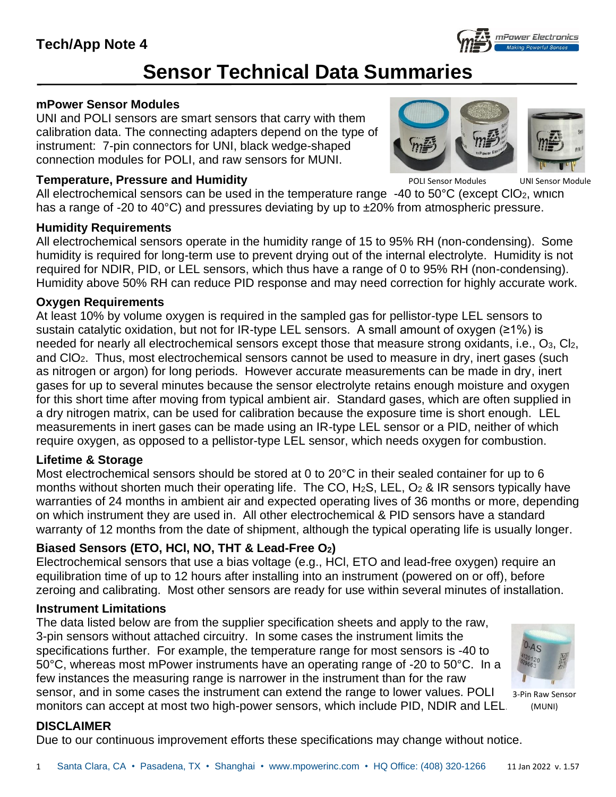

# **Sensor Technical Data Summaries**

#### **mPower Sensor Modules**

UNI and POLI sensors are smart sensors that carry with them calibration data. The connecting adapters depend on the type of instrument: 7-pin connectors for UNI, black wedge-shaped connection modules for POLI, and raw sensors for MUNI.

#### **Temperature, Pressure and Humidity**

POLI Sensor Modules UNI Sensor Module

All electrochemical sensors can be used in the temperature range  $-40$  to  $50^{\circ}$ C (except ClO<sub>2</sub>, which has a range of -20 to 40 $^{\circ}$ C) and pressures deviating by up to  $\pm$ 20% from atmospheric pressure.

#### **Humidity Requirements**

All electrochemical sensors operate in the humidity range of 15 to 95% RH (non-condensing). Some humidity is required for long-term use to prevent drying out of the internal electrolyte. Humidity is not required for NDIR, PID, or LEL sensors, which thus have a range of 0 to 95% RH (non-condensing). Humidity above 50% RH can reduce PID response and may need correction for highly accurate work.

#### **Oxygen Requirements**

At least 10% by volume oxygen is required in the sampled gas for pellistor-type LEL sensors to sustain catalytic oxidation, but not for IR-type LEL sensors. A small amount of oxygen (≥1%) is needed for nearly all electrochemical sensors except those that measure strong oxidants, i.e., O3, Cl2, and ClO2. Thus, most electrochemical sensors cannot be used to measure in dry, inert gases (such as nitrogen or argon) for long periods. However accurate measurements can be made in dry, inert gases for up to several minutes because the sensor electrolyte retains enough moisture and oxygen for this short time after moving from typical ambient air. Standard gases, which are often supplied in a dry nitrogen matrix, can be used for calibration because the exposure time is short enough. LEL measurements in inert gases can be made using an IR-type LEL sensor or a PID, neither of which require oxygen, as opposed to a pellistor-type LEL sensor, which needs oxygen for combustion.

#### **Lifetime & Storage**

Most electrochemical sensors should be stored at 0 to 20°C in their sealed container for up to 6 months without shorten much their operating life. The CO,  $H_2S$ , LEL,  $O_2$  & IR sensors typically have warranties of 24 months in ambient air and expected operating lives of 36 months or more, depending on which instrument they are used in. All other electrochemical & PID sensors have a standard warranty of 12 months from the date of shipment, although the typical operating life is usually longer.

#### **Biased Sensors (ETO, HCl, NO, THT & Lead-Free O2)**

Electrochemical sensors that use a bias voltage (e.g., HCl, ETO and lead-free oxygen) require an equilibration time of up to 12 hours after installing into an instrument (powered on or off), before zeroing and calibrating. Most other sensors are ready for use within several minutes of installation.

#### **Instrument Limitations**

The data listed below are from the supplier specification sheets and apply to the raw, 3-pin sensors without attached circuitry. In some cases the instrument limits the specifications further. For example, the temperature range for most sensors is -40 to 50°C, whereas most mPower instruments have an operating range of -20 to 50°C. In a few instances the measuring range is narrower in the instrument than for the raw sensor, and in some cases the instrument can extend the range to lower values. POLI monitors can accept at most two high-power sensors, which include PID, NDIR and LEL.



3-Pin Raw Sensor (MUNI)

#### **DISCLAIMER**

Due to our continuous improvement efforts these specifications may change without notice.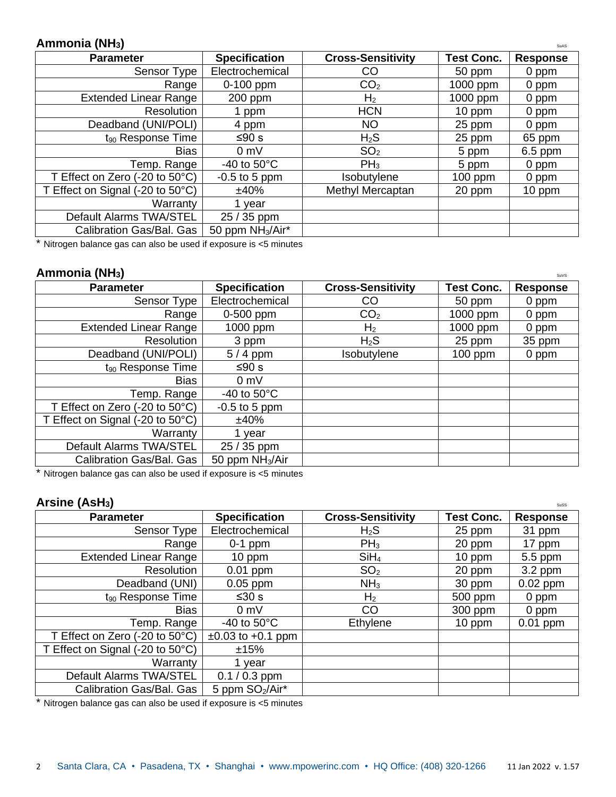#### **Ammonia (NH<sub>3</sub>)** SuAS

| <b>Parameter</b>                 | <b>Specification</b>         | <b>Cross-Sensitivity</b> | <b>Test Conc.</b> | <b>Response</b> |
|----------------------------------|------------------------------|--------------------------|-------------------|-----------------|
| Sensor Type                      | Electrochemical              | CO                       | 50 ppm            | 0 ppm           |
| Range                            | 0-100 ppm                    | CO <sub>2</sub>          | 1000 ppm          | 0 ppm           |
| <b>Extended Linear Range</b>     | 200 ppm                      | H <sub>2</sub>           | 1000 ppm          | 0 ppm           |
| Resolution                       | ppm                          | <b>HCN</b>               | $10$ ppm          | 0 ppm           |
| Deadband (UNI/POLI)              | 4 ppm                        | <b>NO</b>                | 25 ppm            | 0 ppm           |
| $t_{90}$ Response Time           | ≤90 s                        | $H_2S$                   | 25 ppm            | 65 ppm          |
| <b>Bias</b>                      | 0 <sub>m</sub>               | SO <sub>2</sub>          | 5 ppm             | $6.5$ ppm       |
| Temp. Range                      | -40 to $50^{\circ}$ C        | $PH_3$                   | 5 ppm             | 0 ppm           |
| T Effect on Zero (-20 to 50°C)   | $-0.5$ to 5 ppm              | Isobutylene              | $100$ ppm         | 0 ppm           |
| T Effect on Signal (-20 to 50°C) | ±40%                         | Methyl Mercaptan         | 20 ppm            | 10 ppm          |
| Warranty                         | 1 vear                       |                          |                   |                 |
| Default Alarms TWA/STEL          | 25 / 35 ppm                  |                          |                   |                 |
| Calibration Gas/Bal. Gas         | 50 ppm NH <sub>3</sub> /Air* |                          |                   |                 |

\* Nitrogen balance gas can also be used if exposure is <5 minutes

#### **Ammonia (NH<sub>3</sub>)** Superintending the superior of  $\mathbf{S}$  and  $\mathbf{S}$  is superior of  $\mathbf{S}$  and  $\mathbf{S}$  is superior of  $\mathbf{S}$  and  $\mathbf{S}$  is supported in  $\mathbf{S}$  and  $\mathbf{S}$  is a superior of  $\mathbf{S}$  and  $\mathbf{S}$

| <b>Parameter</b>                 | <b>Specification</b>        | <b>Cross-Sensitivity</b> | <b>Test Conc.</b> | <b>Response</b> |
|----------------------------------|-----------------------------|--------------------------|-------------------|-----------------|
| Sensor Type                      | Electrochemical             | CO                       | 50 ppm            | 0 ppm           |
| Range                            | 0-500 ppm                   | CO <sub>2</sub>          | 1000 ppm          | 0 ppm           |
| <b>Extended Linear Range</b>     | 1000 ppm                    | H <sub>2</sub>           | 1000 ppm          | 0 ppm           |
| <b>Resolution</b>                | 3 ppm                       | $H_2S$                   | 25 ppm            | 35 ppm          |
| Deadband (UNI/POLI)              | $5/4$ ppm                   | Isobutylene              | $100$ ppm         | 0 ppm           |
| $t_{90}$ Response Time           | ≤90 s                       |                          |                   |                 |
| <b>Bias</b>                      | $0 \text{ mV}$              |                          |                   |                 |
| Temp. Range                      | -40 to $50^{\circ}$ C       |                          |                   |                 |
| T Effect on Zero (-20 to 50°C)   | $-0.5$ to 5 ppm             |                          |                   |                 |
| T Effect on Signal (-20 to 50°C) | ±40%                        |                          |                   |                 |
| Warranty                         | vear                        |                          |                   |                 |
| Default Alarms TWA/STEL          | 25 / 35 ppm                 |                          |                   |                 |
| Calibration Gas/Bal. Gas         | 50 ppm NH <sub>3</sub> /Air |                          |                   |                 |

\* Nitrogen balance gas can also be used if exposure is <5 minutes

#### **Arsine** (AsH<sub>3</sub>) Sussex 3 and  $\overline{S}$  and  $\overline{S}$  and  $\overline{S}$  and  $\overline{S}$  and  $\overline{S}$  and  $\overline{S}$  and  $\overline{S}$  and  $\overline{S}$  and  $\overline{S}$  and  $\overline{S}$  and  $\overline{S}$  and  $\overline{S}$  and  $\overline{S}$  and  $\overline{S}$  and  $\overline{S}$

| <b>Parameter</b>                                        | <b>Specification</b>        | <b>Cross-Sensitivity</b> | <b>Test Conc.</b> | <b>Response</b> |
|---------------------------------------------------------|-----------------------------|--------------------------|-------------------|-----------------|
| Sensor Type                                             | Electrochemical             | $H_2S$                   | 25 ppm            | 31 ppm          |
| Range                                                   | $0-1$ ppm                   | $PH_3$                   | 20 ppm            | 17 ppm          |
| <b>Extended Linear Range</b>                            | $10$ ppm                    | SiH <sub>4</sub>         | $10$ ppm          | $5.5$ ppm       |
| Resolution                                              | $0.01$ ppm                  | SO <sub>2</sub>          | 20 ppm            | $3.2$ ppm       |
| Deadband (UNI)                                          | $0.05$ ppm                  | NH <sub>3</sub>          | 30 ppm            | $0.02$ ppm      |
| $t_{90}$ Response Time                                  | ≤30 s                       | H <sub>2</sub>           | 500 ppm           | 0 ppm           |
| <b>Bias</b>                                             | $0 \text{ mV}$              | <b>CO</b>                | 300 ppm           | 0 ppm           |
| Temp. Range                                             | -40 to $50^{\circ}$ C       | Ethylene                 | $10$ ppm          | $0.01$ ppm      |
| T Effect on Zero $(-20 \text{ to } 50^{\circ}\text{C})$ | $±0.03$ to $±0.1$ ppm       |                          |                   |                 |
| T Effect on Signal (-20 to 50°C)                        | ±15%                        |                          |                   |                 |
| Warranty                                                | 1 year                      |                          |                   |                 |
| Default Alarms TWA/STEL                                 | $0.1 / 0.3$ ppm             |                          |                   |                 |
| Calibration Gas/Bal. Gas                                | 5 ppm SO <sub>2</sub> /Air* |                          |                   |                 |
|                                                         |                             |                          |                   |                 |

\* Nitrogen balance gas can also be used if exposure is <5 minutes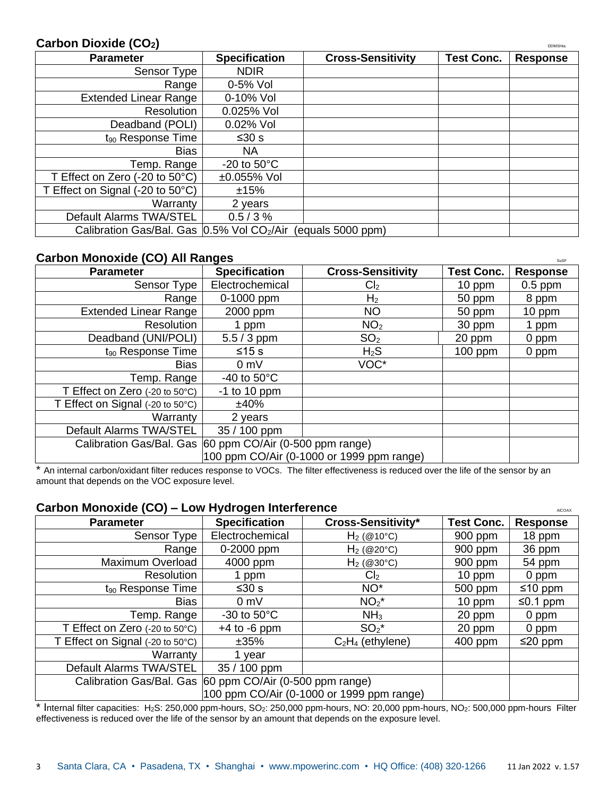#### **Carbon Dioxide (CO<sub>2</sub>)** DDMSHa</sub>

| <b>Parameter</b>                          | <b>Specification</b>    | <b>Cross-Sensitivity</b> | <b>Test Conc.</b> | <b>Response</b> |
|-------------------------------------------|-------------------------|--------------------------|-------------------|-----------------|
| Sensor Type                               | <b>NDIR</b>             |                          |                   |                 |
| Range                                     | 0-5% Vol                |                          |                   |                 |
| <b>Extended Linear Range</b>              | 0-10% Vol               |                          |                   |                 |
| Resolution                                | 0.025% Vol              |                          |                   |                 |
| Deadband (POLI)                           | 0.02% Vol               |                          |                   |                 |
| $t_{90}$ Response Time                    | ≤30 s                   |                          |                   |                 |
| <b>Bias</b>                               | NA.                     |                          |                   |                 |
| Temp. Range                               | $-20$ to $50^{\circ}$ C |                          |                   |                 |
| T Effect on Zero (-20 to 50°C)            | ±0.055% Vol             |                          |                   |                 |
| T Effect on Signal (-20 to 50°C)          | ±15%                    |                          |                   |                 |
| Warranty                                  | 2 years                 |                          |                   |                 |
| Default Alarms TWA/STEL                   | 0.5/3%                  |                          |                   |                 |
| Calibration Gas/Bal. Gas 0.5% Vol CO2/Air |                         | (equals 5000 ppm)        |                   |                 |

## Carbon Monoxide (CO) All Ranges

| <b>Parameter</b>                                         | <b>Specification</b>                                     | <b>Cross-Sensitivity</b> | <b>Test Conc.</b> | əuər<br><b>Response</b> |
|----------------------------------------------------------|----------------------------------------------------------|--------------------------|-------------------|-------------------------|
| Sensor Type                                              | Electrochemical                                          | Cl <sub>2</sub>          | 10 ppm            | $0.5$ ppm               |
| Range                                                    | 0-1000 ppm                                               | H <sub>2</sub>           | 50 ppm            | 8 ppm                   |
| <b>Extended Linear Range</b>                             | 2000 ppm                                                 | <b>NO</b>                | 50 ppm            | $10$ ppm                |
| <b>Resolution</b>                                        | 1 ppm                                                    | NO <sub>2</sub>          | 30 ppm            | l ppm                   |
| Deadband (UNI/POLI)                                      | $5.5 / 3$ ppm                                            | SO <sub>2</sub>          | 20 ppm            | 0 ppm                   |
| $t_{90}$ Response Time                                   | $≤15 s$                                                  | $H_2S$                   | $100$ ppm         | 0 ppm                   |
| <b>Bias</b>                                              | 0 <sub>m</sub>                                           | VOC*                     |                   |                         |
| Temp. Range                                              | -40 to $50^{\circ}$ C                                    |                          |                   |                         |
| T Effect on Zero $(-20 \text{ to } 50^{\circ} \text{C})$ | $-1$ to 10 ppm                                           |                          |                   |                         |
| T Effect on Signal (-20 to 50°C)                         | ±40%                                                     |                          |                   |                         |
| Warranty                                                 | 2 years                                                  |                          |                   |                         |
| Default Alarms TWA/STEL                                  | 35 / 100 ppm                                             |                          |                   |                         |
|                                                          | Calibration Gas/Bal. Gas 60 ppm CO/Air (0-500 ppm range) |                          |                   |                         |
| 100 ppm CO/Air (0-1000 or 1999 ppm range)                |                                                          |                          |                   |                         |

\* An internal carbon/oxidant filter reduces response to VOCs. The filter effectiveness is reduced over the life of the sensor by an amount that depends on the VOC exposure level.

#### **Carbon Monoxide (CO) – Low Hydrogen Interference** Alcohomy and Alcohomy Alcohomy Alcohomy

| <b>Parameter</b>                                           | <b>Specification</b>                                     | <b>Cross-Sensitivity*</b> | <b>Test Conc.</b> | <b>Response</b> |
|------------------------------------------------------------|----------------------------------------------------------|---------------------------|-------------------|-----------------|
| Sensor Type                                                | Electrochemical                                          | $H_2$ (@10°C)             | 900 ppm           | 18 ppm          |
| Range                                                      | 0-2000 ppm                                               | $H_2$ (@20°C)             | 900 ppm           | 36 ppm          |
| Maximum Overload                                           | 4000 ppm                                                 | $H_2$ (@30°C)             | 900 ppm           | 54 ppm          |
| Resolution                                                 | ppm                                                      | Cl <sub>2</sub>           | 10 ppm            | 0 ppm           |
| $t_{90}$ Response Time                                     | ≤30 s                                                    | NO <sup>*</sup>           | 500 ppm           | $≤10$ ppm       |
| <b>Bias</b>                                                | $0 \text{ mV}$                                           | $NO2*$                    | $10$ ppm          | ≤0.1 ppm        |
| Temp. Range                                                | $-30$ to $50^{\circ}$ C                                  | NH <sub>3</sub>           | 20 ppm            | 0 ppm           |
| T Effect on Zero $(-20 \text{ to } 50^{\circ} \text{C})$   | $+4$ to $-6$ ppm                                         | $SO_2^*$                  | 20 ppm            | 0 ppm           |
| T Effect on Signal $(-20 \text{ to } 50^{\circ} \text{C})$ | ±35%                                                     | $C_2H_4$ (ethylene)       | 400 ppm           | ≤20 ppm         |
| Warranty                                                   | year                                                     |                           |                   |                 |
| Default Alarms TWA/STEL                                    | 35 / 100 ppm                                             |                           |                   |                 |
|                                                            | Calibration Gas/Bal. Gas 60 ppm CO/Air (0-500 ppm range) |                           |                   |                 |
| 100 ppm CO/Air (0-1000 or 1999 ppm range)                  |                                                          |                           |                   |                 |

\* Internal filter capacities: H2S: 250,000 ppm-hours, SO2: 250,000 ppm-hours, NO: 20,000 ppm-hours, NO2: 500,000 ppm-hours Filter effectiveness is reduced over the life of the sensor by an amount that depends on the exposure level.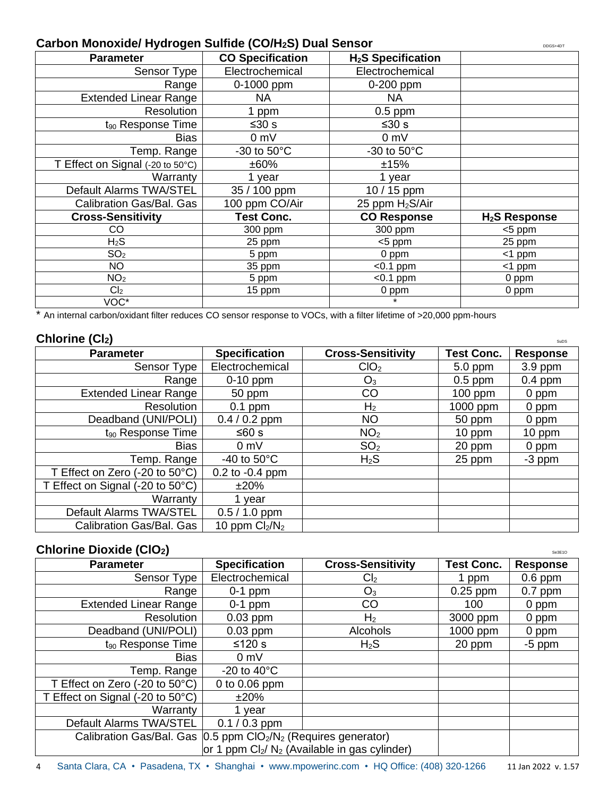#### **Carbon Monoxide/ Hydrogen Sulfide (CO/H<sub>2</sub>S) Dual Sensor**

| <u>sen menexiaer rij aregon eamae (eerrize) Baar eenoer</u> |                         |                                | <b>DDG3+4D</b> I |
|-------------------------------------------------------------|-------------------------|--------------------------------|------------------|
| <b>Parameter</b>                                            | <b>CO Specification</b> | H <sub>2</sub> S Specification |                  |
| Sensor Type                                                 | Electrochemical         | Electrochemical                |                  |
| Range                                                       | 0-1000 ppm              | 0-200 ppm                      |                  |
| <b>Extended Linear Range</b>                                | <b>NA</b>               | NA.                            |                  |
| <b>Resolution</b>                                           | 1 ppm                   | $0.5$ ppm                      |                  |
| t <sub>90</sub> Response Time                               | ≤ $30$ s                | ≤30 s                          |                  |
| <b>Bias</b>                                                 | 0 mV                    | 0 <sub>m</sub>                 |                  |
| Temp. Range                                                 | -30 to $50^{\circ}$ C   | -30 to $50^{\circ}$ C          |                  |
| T Effect on Signal (-20 to 50°C)                            | ±60%                    | ±15%                           |                  |
| Warranty                                                    | 1 year                  | 1 year                         |                  |
| Default Alarms TWA/STEL                                     | 35 / 100 ppm            | 10 / 15 ppm                    |                  |
| Calibration Gas/Bal. Gas                                    | 100 ppm CO/Air          | 25 ppm $H_2S/Air$              |                  |
| <b>Cross-Sensitivity</b>                                    | <b>Test Conc.</b>       | <b>CO Response</b>             | $H2S$ Response   |
| CO                                                          | 300 ppm                 | 300 ppm                        | <5 ppm           |
| H <sub>2</sub> S                                            | 25 ppm                  | <5 ppm                         | 25 ppm           |
| SO <sub>2</sub>                                             | 5 ppm                   | $0$ ppm                        | $<$ 1 ppm        |
| <b>NO</b>                                                   | 35 ppm                  | $< 0.1$ ppm                    | $<$ 1 ppm        |
| NO <sub>2</sub>                                             | 5 ppm                   | $< 0.1$ ppm                    | 0 ppm            |
| Cl <sub>2</sub>                                             | 15 ppm                  | 0 ppm                          | 0 ppm            |
| VOC*                                                        |                         | $\star$                        |                  |

\* An internal carbon/oxidant filter reduces CO sensor response to VOCs, with a filter lifetime of >20,000 ppm-hours

#### $Chlorine (Cl<sub>2</sub>)$

| VIIIVIIIVIVIUI                                           |                       |                          |                   | <b>SUDS</b>     |
|----------------------------------------------------------|-----------------------|--------------------------|-------------------|-----------------|
| <b>Parameter</b>                                         | <b>Specification</b>  | <b>Cross-Sensitivity</b> | <b>Test Conc.</b> | <b>Response</b> |
| Sensor Type                                              | Electrochemical       | ClO <sub>2</sub>         | 5.0 ppm           | $3.9$ ppm       |
| Range                                                    | $0-10$ ppm            | $O_3$                    | $0.5$ ppm         | $0.4$ ppm       |
| <b>Extended Linear Range</b>                             | 50 ppm                | CO                       | $100$ ppm         | 0 ppm           |
| <b>Resolution</b>                                        | $0.1$ ppm             | H <sub>2</sub>           | 1000 ppm          | 0 ppm           |
| Deadband (UNI/POLI)                                      | $0.4 / 0.2$ ppm       | <b>NO</b>                | 50 ppm            | 0 ppm           |
| $t_{90}$ Response Time                                   | ≤60 s                 | NO <sub>2</sub>          | 10 ppm            | $10$ ppm        |
| <b>Bias</b>                                              | 0 <sub>m</sub>        | SO <sub>2</sub>          | 20 ppm            | 0 ppm           |
| Temp. Range                                              | -40 to $50^{\circ}$ C | $H_2S$                   | 25 ppm            | $-3$ ppm        |
| T Effect on Zero $(-20 \text{ to } 50^{\circ} \text{C})$ | $0.2$ to $-0.4$ ppm   |                          |                   |                 |
| T Effect on Signal (-20 to 50°C)                         | ±20%                  |                          |                   |                 |
| Warranty                                                 | 1 vear                |                          |                   |                 |
| Default Alarms TWA/STEL                                  | $0.5 / 1.0$ ppm       |                          |                   |                 |
| Calibration Gas/Bal. Gas                                 | 10 ppm $Cl2/N2$       |                          |                   |                 |

#### **Chlorine Dioxide (ClO<sub>2</sub>)** Second 2002 **Second 2003**

| <b>Parameter</b>                                           | <b>Specification</b>                                                                     | <b>Cross-Sensitivity</b>                        | <b>Test Conc.</b> | <b>Response</b> |
|------------------------------------------------------------|------------------------------------------------------------------------------------------|-------------------------------------------------|-------------------|-----------------|
| Sensor Type                                                | Electrochemical                                                                          | Cl <sub>2</sub>                                 | 1 ppm             | $0.6$ ppm       |
| Range                                                      | $0-1$ ppm                                                                                | $O_3$                                           | $0.25$ ppm        | $0.7$ ppm       |
| <b>Extended Linear Range</b>                               | $0-1$ ppm                                                                                | CO                                              | 100               | 0 ppm           |
| Resolution                                                 | $0.03$ ppm                                                                               | H <sub>2</sub>                                  | 3000 ppm          | 0 ppm           |
| Deadband (UNI/POLI)                                        | $0.03$ ppm                                                                               | <b>Alcohols</b>                                 | 1000 ppm          | 0 ppm           |
| $t_{90}$ Response Time                                     | ≤120 s                                                                                   | $H_2S$                                          | 20 ppm            | $-5$ ppm        |
| <b>Bias</b>                                                | 0 <sub>m</sub>                                                                           |                                                 |                   |                 |
| Temp. Range                                                | -20 to 40 $\mathrm{^{\circ}C}$                                                           |                                                 |                   |                 |
| T Effect on Zero (-20 to $50^{\circ}$ C)                   | 0 to $0.06$ ppm                                                                          |                                                 |                   |                 |
| T Effect on Signal $(-20 \text{ to } 50^{\circ} \text{C})$ | ±20%                                                                                     |                                                 |                   |                 |
| Warranty                                                   | 1 year                                                                                   |                                                 |                   |                 |
| Default Alarms TWA/STEL                                    | $0.1 / 0.3$ ppm                                                                          |                                                 |                   |                 |
|                                                            | Calibration Gas/Bal. Gas   0.5 ppm CIO <sub>2</sub> /N <sub>2</sub> (Requires generator) |                                                 |                   |                 |
|                                                            |                                                                                          | or 1 ppm $Cl_2/N_2$ (Available in gas cylinder) |                   |                 |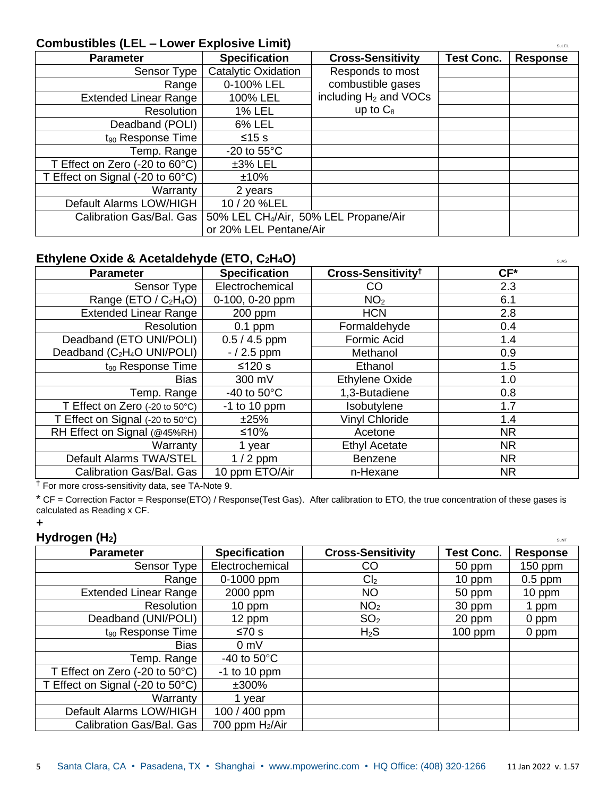#### **Combustibles (LEL – Lower Explosive Limit)** SuLEL

| <b>Parameter</b>                         | <b>Specification</b>                              | <b>Cross-Sensitivity</b>          | <b>Test Conc.</b> | <b>Response</b> |
|------------------------------------------|---------------------------------------------------|-----------------------------------|-------------------|-----------------|
| Sensor Type                              | <b>Catalytic Oxidation</b>                        | Responds to most                  |                   |                 |
| Range                                    | 0-100% LEL                                        | combustible gases                 |                   |                 |
| <b>Extended Linear Range</b>             | 100% LEL                                          | including H <sub>2</sub> and VOCs |                   |                 |
| <b>Resolution</b>                        | <b>1% LEL</b>                                     | up to $C_8$                       |                   |                 |
| Deadband (POLI)                          | 6% LEL                                            |                                   |                   |                 |
| $t_{90}$ Response Time                   | $≤15$ s                                           |                                   |                   |                 |
| Temp. Range                              | -20 to $55^{\circ}$ C                             |                                   |                   |                 |
| T Effect on Zero (-20 to $60^{\circ}$ C) | $±3\%$ LEL                                        |                                   |                   |                 |
| T Effect on Signal (-20 to 60°C)         | ±10%                                              |                                   |                   |                 |
| Warranty                                 | 2 years                                           |                                   |                   |                 |
| Default Alarms LOW/HIGH                  | 10 / 20 %LEL                                      |                                   |                   |                 |
| Calibration Gas/Bal. Gas                 | 50% LEL CH <sub>4</sub> /Air, 50% LEL Propane/Air |                                   |                   |                 |
|                                          | or 20% LEL Pentane/Air                            |                                   |                   |                 |

#### **Ethylene Oxide & Acetaldehyde (ETO, C<sub>2</sub>H<sub>4</sub>O) and the substitution of the substitution of the substitution of the substitution of the substitution of the substitution of the substitution of the substitution of the substi**

| <b>Parameter</b>                                        | <b>Specification</b>  | Cross-Sensitivity <sup>†</sup> | $CF*$     |
|---------------------------------------------------------|-----------------------|--------------------------------|-----------|
| Sensor Type                                             | Electrochemical       | CO                             | 2.3       |
| Range (ETO / $C_2H_4O$ )                                | 0-100, 0-20 ppm       | NO <sub>2</sub>                | 6.1       |
| <b>Extended Linear Range</b>                            | 200 ppm               | <b>HCN</b>                     | 2.8       |
| Resolution                                              | $0.1$ ppm             | Formaldehyde                   | 0.4       |
| Deadband (ETO UNI/POLI)                                 | $0.5 / 4.5$ ppm       | Formic Acid                    | 1.4       |
| Deadband (C <sub>2</sub> H <sub>4</sub> O UNI/POLI)     | $-/2.5$ ppm           | Methanol                       | 0.9       |
| t <sub>90</sub> Response Time                           | $≤120 s$              | Ethanol                        | 1.5       |
| <b>Bias</b>                                             | 300 mV                | Ethylene Oxide                 | 1.0       |
| Temp. Range                                             | -40 to $50^{\circ}$ C | 1,3-Butadiene                  | 0.8       |
| T Effect on Zero $(-20 \text{ to } 50^{\circ}\text{C})$ | $-1$ to 10 ppm        | Isobutylene                    | 1.7       |
| T Effect on Signal (-20 to 50°C)                        | ±25%                  | <b>Vinyl Chloride</b>          | 1.4       |
| RH Effect on Signal (@45%RH)                            | ≤10%                  | Acetone                        | <b>NR</b> |
| Warranty                                                | 1 year                | <b>Ethyl Acetate</b>           | <b>NR</b> |
| Default Alarms TWA/STEL                                 | $1/2$ ppm             | <b>Benzene</b>                 | <b>NR</b> |
| Calibration Gas/Bal. Gas                                | 10 ppm ETO/Air        | n-Hexane                       | <b>NR</b> |

† For more cross-sensitivity data, see TA-Note 9.

\* CF = Correction Factor = Response(ETO) / Response(Test Gas). After calibration to ETO, the true concentration of these gases is calculated as Reading x CF.

#### **+**

#### **Hydrogen (H<sub>2</sub>)** SUNTER **EXPLORER <b>SUNTER**

| <b>Parameter</b>                 | <b>Specification</b>        | <b>Cross-Sensitivity</b> | <b>Test Conc.</b> | <b>Response</b> |
|----------------------------------|-----------------------------|--------------------------|-------------------|-----------------|
| Sensor Type                      | Electrochemical             | CO                       | 50 ppm            | $150$ ppm       |
| Range                            | 0-1000 ppm                  | Cl <sub>2</sub>          | 10 ppm            | $0.5$ ppm       |
| <b>Extended Linear Range</b>     | 2000 ppm                    | <b>NO</b>                | 50 ppm            | 10 ppm          |
| <b>Resolution</b>                | 10 ppm                      | NO <sub>2</sub>          | 30 ppm            | 1 ppm           |
| Deadband (UNI/POLI)              | 12 ppm                      | SO <sub>2</sub>          | 20 ppm            | 0 ppm           |
| $t_{90}$ Response Time           | ≤70 s                       | $H_2S$                   | $100$ ppm         | 0 ppm           |
| <b>Bias</b>                      | 0 <sub>m</sub>              |                          |                   |                 |
| Temp. Range                      | $-40$ to $50^{\circ}$ C     |                          |                   |                 |
| T Effect on Zero (-20 to 50°C)   | $-1$ to 10 ppm              |                          |                   |                 |
| T Effect on Signal (-20 to 50°C) | ±300%                       |                          |                   |                 |
| Warranty                         | 1 vear                      |                          |                   |                 |
| Default Alarms LOW/HIGH          | 100 / 400 ppm               |                          |                   |                 |
| Calibration Gas/Bal. Gas         | 700 ppm H <sub>2</sub> /Air |                          |                   |                 |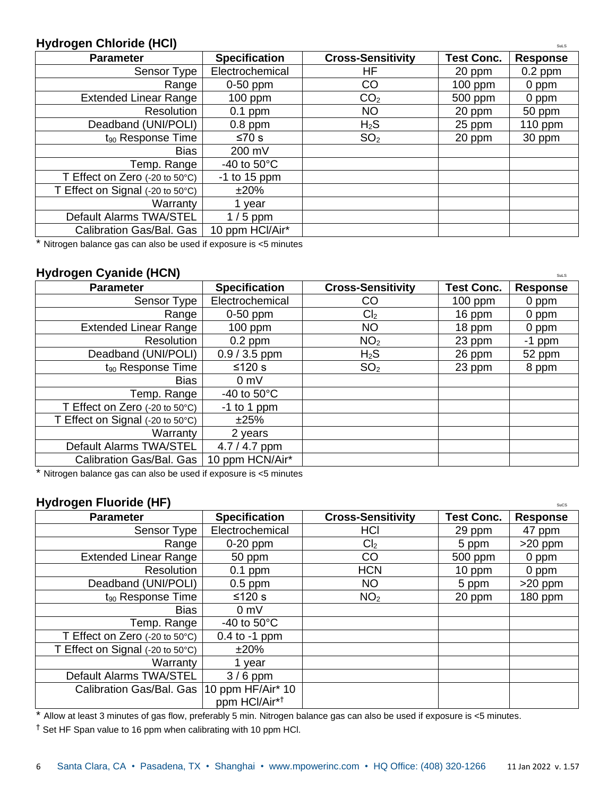#### **Hydrogen Chloride (HCl)** Sulsay of the substitution of the substitution of the substitution of the substitution of the substitution of the substitution of the substitution of the substitution of the substitution of the su

| <b>Parameter</b>                                        | <b>Specification</b>  | <b>Cross-Sensitivity</b> | <b>Test Conc.</b> | <b>Response</b> |
|---------------------------------------------------------|-----------------------|--------------------------|-------------------|-----------------|
| Sensor Type                                             | Electrochemical       | HF                       | 20 ppm            | $0.2$ ppm       |
| Range                                                   | $0-50$ ppm            | <b>CO</b>                | $100$ ppm         | 0 ppm           |
| <b>Extended Linear Range</b>                            | $100$ ppm             | CO <sub>2</sub>          | 500 ppm           | 0 ppm           |
| Resolution                                              | $0.1$ ppm             | <b>NO</b>                | 20 ppm            | 50 ppm          |
| Deadband (UNI/POLI)                                     | $0.8$ ppm             | $H_2S$                   | 25 ppm            | 110 ppm         |
| $t_{90}$ Response Time                                  | ≤70 s                 | SO <sub>2</sub>          | 20 ppm            | 30 ppm          |
| <b>Bias</b>                                             | 200 mV                |                          |                   |                 |
| Temp. Range                                             | -40 to $50^{\circ}$ C |                          |                   |                 |
| T Effect on Zero $(-20 \text{ to } 50^{\circ}\text{C})$ | $-1$ to 15 ppm        |                          |                   |                 |
| T Effect on Signal (-20 to 50°C)                        | $±20\%$               |                          |                   |                 |
| Warranty                                                | 1 year                |                          |                   |                 |
| Default Alarms TWA/STEL                                 | $1/5$ ppm             |                          |                   |                 |
| Calibration Gas/Bal. Gas                                | 10 ppm HCl/Air*       |                          |                   |                 |

\* Nitrogen balance gas can also be used if exposure is <5 minutes

#### **Hydrogen Cyanide (HCN)** Sulsay Sulsay Sulsay Sulsay Sulsay Sulsay Sulsay Sulsay Sulsay Sulsay Sulsay Sulsay Sulsay Sulsay Sulsay Sulsay Sulsay Sulsay Sulsay Sulsay Sulsay Sulsay Sulsay Sulsay Sulsay Sulsay Sulsay Sulsay S

| <b>Parameter</b>                 | <b>Specification</b>  | <b>Cross-Sensitivity</b> | <b>Test Conc.</b> | <b>Response</b> |
|----------------------------------|-----------------------|--------------------------|-------------------|-----------------|
| Sensor Type                      | Electrochemical       | CO                       | $100$ ppm         | 0 ppm           |
| Range                            | $0-50$ ppm            | Cl <sub>2</sub>          | 16 ppm            | 0 ppm           |
| <b>Extended Linear Range</b>     | $100$ ppm             | <b>NO</b>                | 18 ppm            | 0 ppm           |
| Resolution                       | $0.2$ ppm             | NO <sub>2</sub>          | 23 ppm            | -1 ppm          |
| Deadband (UNI/POLI)              | $0.9 / 3.5$ ppm       | $H_2S$                   | 26 ppm            | 52 ppm          |
| t <sub>90</sub> Response Time    | $≤120 s$              | SO <sub>2</sub>          | 23 ppm            | 8 ppm           |
| Bias                             | 0 <sub>m</sub>        |                          |                   |                 |
| Temp. Range                      | -40 to $50^{\circ}$ C |                          |                   |                 |
| T Effect on Zero (-20 to 50°C)   | $-1$ to 1 ppm         |                          |                   |                 |
| T Effect on Signal (-20 to 50°C) | ±25%                  |                          |                   |                 |
| Warranty                         | 2 years               |                          |                   |                 |
| Default Alarms TWA/STEL          | 4.7 / 4.7 ppm         |                          |                   |                 |
| Calibration Gas/Bal. Gas         | 10 ppm HCN/Air*       |                          |                   |                 |

\* Nitrogen balance gas can also be used if exposure is <5 minutes

#### **Hydrogen Fluoride (HF)** Successive Superior Superior Superior Superior Superior Superior Successive Successive Superior Superior Superior Superior Superior Superior Superior Superior Superior Superior Superior Superior Su

| <b>Parameter</b>                             | <b>Specification</b>      | <b>Cross-Sensitivity</b> | <b>Test Conc.</b> | <b>Response</b> |
|----------------------------------------------|---------------------------|--------------------------|-------------------|-----------------|
| Sensor Type                                  | Electrochemical           | <b>HCI</b>               | 29 ppm            | 47 ppm          |
| Range                                        | $0-20$ ppm                | Cl <sub>2</sub>          | 5 ppm             | $>20$ ppm       |
| <b>Extended Linear Range</b>                 | 50 ppm                    | CO                       | 500 ppm           | 0 ppm           |
| Resolution                                   | $0.1$ ppm                 | <b>HCN</b>               | 10 ppm            | 0 ppm           |
| Deadband (UNI/POLI)                          | $0.5$ ppm                 | <b>NO</b>                | 5 ppm             | $>20$ ppm       |
| $t_{90}$ Response Time                       | $≤120$ s                  | NO <sub>2</sub>          | 20 ppm            | 180 ppm         |
| <b>Bias</b>                                  | 0 <sub>m</sub>            |                          |                   |                 |
| Temp. Range                                  | -40 to $50^{\circ}$ C     |                          |                   |                 |
| T Effect on Zero (-20 to 50°C)               | $0.4$ to -1 ppm           |                          |                   |                 |
| T Effect on Signal (-20 to 50°C)             | $±20\%$                   |                          |                   |                 |
| Warranty                                     | vear                      |                          |                   |                 |
| Default Alarms TWA/STEL                      | $3/6$ ppm                 |                          |                   |                 |
| Calibration Gas/Bal. Gas   10 ppm HF/Air* 10 | ppm HCl/Air* <sup>†</sup> |                          |                   |                 |

\* Allow at least 3 minutes of gas flow, preferably 5 min. Nitrogen balance gas can also be used if exposure is <5 minutes.

† Set HF Span value to 16 ppm when calibrating with 10 ppm HCl.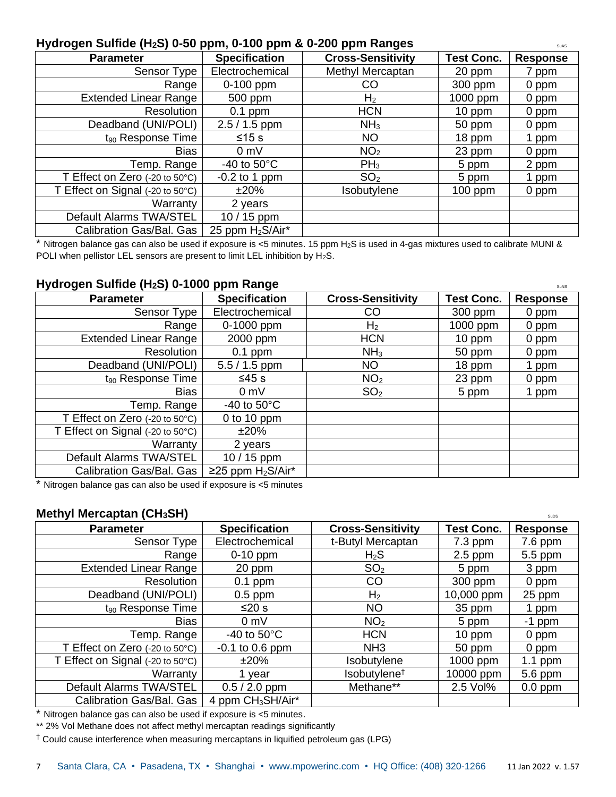#### **Hydrogen Sulfide (H<sub>2</sub>S) 0-50 ppm, 0-100 ppm & 0-200 ppm Ranges**

| <b>Parameter</b>                 | <b>Specification</b>         | <b>Cross-Sensitivity</b> | <b>Test Conc.</b> | <b>Response</b> |
|----------------------------------|------------------------------|--------------------------|-------------------|-----------------|
| Sensor Type                      | Electrochemical              | Methyl Mercaptan         | 20 ppm            | 7 ppm           |
| Range                            | 0-100 ppm                    | CO                       | 300 ppm           | 0 ppm           |
| Extended Linear Range            | 500 ppm                      | H <sub>2</sub>           | 1000 ppm          | 0 ppm           |
| Resolution                       | $0.1$ ppm                    | <b>HCN</b>               | $10$ ppm          | 0 ppm           |
| Deadband (UNI/POLI)              | $2.5 / 1.5$ ppm              | NH <sub>3</sub>          | 50 ppm            | 0 ppm           |
| $t_{90}$ Response Time           | ≤15 s                        | <b>NO</b>                | 18 ppm            | 1 ppm           |
| Bias                             | 0 <sub>m</sub>               | NO <sub>2</sub>          | 23 ppm            | 0 ppm           |
| Temp. Range                      | -40 to $50^{\circ}$ C        | $PH_3$                   | 5 ppm             | 2 ppm           |
| T Effect on Zero (-20 to 50°C)   | $-0.2$ to 1 ppm              | SO <sub>2</sub>          | 5 ppm             | l ppm           |
| T Effect on Signal (-20 to 50°C) | ±20%                         | Isobutylene              | $100$ ppm         | 0 ppm           |
| Warranty                         | 2 years                      |                          |                   |                 |
| Default Alarms TWA/STEL          | $10/15$ ppm                  |                          |                   |                 |
| Calibration Gas/Bal. Gas         | 25 ppm H <sub>2</sub> S/Air* |                          |                   |                 |

\* Nitrogen balance gas can also be used if exposure is <5 minutes. 15 ppm H2S is used in 4-gas mixtures used to calibrate MUNI & POLI when pellistor LEL sensors are present to limit LEL inhibition by H2S.

#### **Hydrogen Sulfide (H<sub>2</sub>S) 0-1000 ppm Range and Superior Construction of the Superior Superior Superior Superior Superior Superior Superior Superior Superior Superior Superior Superior Superior Superior Superior Superior Su**

| <b>Parameter</b>                                        | <b>Specification</b>  | <b>Cross-Sensitivity</b> | <b>Test Conc.</b> | <b>Response</b> |
|---------------------------------------------------------|-----------------------|--------------------------|-------------------|-----------------|
| Sensor Type                                             | Electrochemical       | CO                       | 300 ppm           | 0 ppm           |
| Range                                                   | 0-1000 ppm            | H <sub>2</sub>           | 1000 ppm          | 0 ppm           |
| <b>Extended Linear Range</b>                            | 2000 ppm              | <b>HCN</b>               | 10 ppm            | 0 ppm           |
| Resolution                                              | $0.1$ ppm             | NH <sub>3</sub>          | 50 ppm            | 0 ppm           |
| Deadband (UNI/POLI)                                     | $5.5 / 1.5$ ppm       | NO                       | 18 ppm            | 1 ppm           |
| $t_{90}$ Response Time                                  | $≤45$ s               | NO <sub>2</sub>          | 23 ppm            | 0 ppm           |
| Bias                                                    | 0 <sub>m</sub>        | SO <sub>2</sub>          | 5 ppm             | ppm             |
| Temp. Range                                             | -40 to $50^{\circ}$ C |                          |                   |                 |
| T Effect on Zero $(-20 \text{ to } 50^{\circ}\text{C})$ | 0 to 10 ppm           |                          |                   |                 |
| T Effect on Signal (-20 to 50°C)                        | ±20%                  |                          |                   |                 |
| Warranty                                                | 2 years               |                          |                   |                 |
| Default Alarms TWA/STEL                                 | $10/15$ ppm           |                          |                   |                 |
| Calibration Gas/Bal. Gas                                | ≥25 ppm $H_2S/Air^*$  |                          |                   |                 |

\* Nitrogen balance gas can also be used if exposure is <5 minutes

#### **Methyl Mercaptan (CH<sub>3</sub>SH)** Subset of  $\mathbb{S}$  and  $\mathbb{S}$  subset of  $\mathbb{S}$  subsets of  $\mathbb{S}$  subsets of  $\mathbb{S}$  and  $\mathbb{S}$  subsets of  $\mathbb{S}$  and  $\mathbb{S}$  and  $\mathbb{S}$  and  $\mathbb{S}$  and  $\mathbb{S}$  and  $\mathbb{S}$  and

| <b>Parameter</b>                 | <b>Specification</b>          | <b>Cross-Sensitivity</b> | <b>Test Conc.</b> | <b>Response</b> |
|----------------------------------|-------------------------------|--------------------------|-------------------|-----------------|
| Sensor Type                      | Electrochemical               | t-Butyl Mercaptan        | $7.3$ ppm         | $7.6$ ppm       |
| Range                            | $0-10$ ppm                    | $H_2S$                   | $2.5$ ppm         | 5.5 ppm         |
| <b>Extended Linear Range</b>     | 20 ppm                        | SO <sub>2</sub>          | 5 ppm             | 3 ppm           |
| Resolution                       | $0.1$ ppm                     | CO                       | 300 ppm           | 0 ppm           |
| Deadband (UNI/POLI)              | $0.5$ ppm                     | H <sub>2</sub>           | 10,000 ppm        | 25 ppm          |
| $t_{90}$ Response Time           | ≤20 s                         | <b>NO</b>                | 35 ppm            | ppm             |
| <b>Bias</b>                      | 0 mV                          | NO <sub>2</sub>          | 5 ppm             | $-1$ ppm        |
| Temp. Range                      | -40 to $50^{\circ}$ C         | <b>HCN</b>               | 10 ppm            | 0 ppm           |
| T Effect on Zero (-20 to 50°C)   | $-0.1$ to 0.6 ppm             | NH <sub>3</sub>          | 50 ppm            | 0 ppm           |
| T Effect on Signal (-20 to 50°C) | $±20\%$                       | Isobutylene              | 1000 ppm          | 1.1 ppm         |
| Warranty                         | 1 year                        | Isobutylene <sup>†</sup> | 10000 ppm         | 5.6 ppm         |
| Default Alarms TWA/STEL          | $0.5 / 2.0$ ppm               | Methane**                | 2.5 Vol%          | $0.0$ ppm       |
| Calibration Gas/Bal. Gas         | 4 ppm CH <sub>3</sub> SH/Air* |                          |                   |                 |

\* Nitrogen balance gas can also be used if exposure is <5 minutes.

\*\* 2% Vol Methane does not affect methyl mercaptan readings significantly

† Could cause interference when measuring mercaptans in liquified petroleum gas (LPG)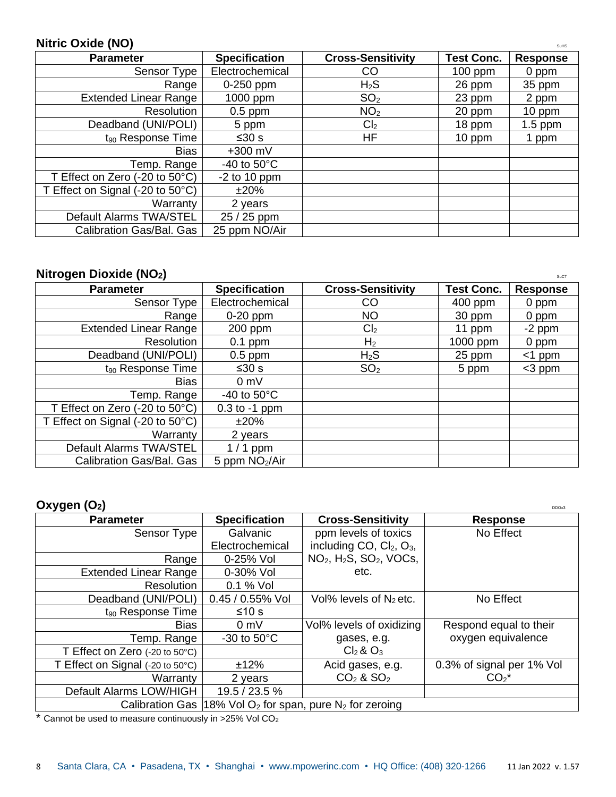#### **Nitric Oxide (NO)**

| <b>Parameter</b>                                         | <b>Specification</b>  | <b>Cross-Sensitivity</b> | <b>Test Conc.</b> | <b>Response</b> |
|----------------------------------------------------------|-----------------------|--------------------------|-------------------|-----------------|
| Sensor Type                                              | Electrochemical       | CO                       | $100$ ppm         | 0 ppm           |
| Range                                                    | 0-250 ppm             | $H_2S$                   | 26 ppm            | 35 ppm          |
| <b>Extended Linear Range</b>                             | 1000 ppm              | SO <sub>2</sub>          | 23 ppm            | 2 ppm           |
| Resolution                                               | $0.5$ ppm             | NO <sub>2</sub>          | 20 ppm            | 10 ppm          |
| Deadband (UNI/POLI)                                      | 5 ppm                 | Cl <sub>2</sub>          | 18 ppm            | $1.5$ ppm       |
| $t_{90}$ Response Time                                   | ≤30 s                 | HF                       | 10 ppm            | 1 ppm           |
| Bias                                                     | $+300$ mV             |                          |                   |                 |
| Temp. Range                                              | -40 to $50^{\circ}$ C |                          |                   |                 |
| T Effect on Zero $(-20 \text{ to } 50^{\circ} \text{C})$ | $-2$ to 10 ppm        |                          |                   |                 |
| T Effect on Signal (-20 to 50°C)                         | ±20%                  |                          |                   |                 |
| Warranty                                                 | 2 years               |                          |                   |                 |
| Default Alarms TWA/STEL                                  | 25 / 25 ppm           |                          |                   |                 |
| Calibration Gas/Bal. Gas                                 | 25 ppm NO/Air         |                          |                   |                 |

#### **Nitrogen Dioxide (NO<sub>2</sub>)** Sucretion **CO** 2 Sucretion **CO** 2 Sucretion **CO** 2 Sucretion **CO** 2 Sucretion **CO** 2 Sucretion **CO** 2 Sucretion **CO** 2 Sucretion **CO** 2 Sucretion **CO** 2 Sucretion **CO** 2 Sucretion **CO** 2 Sucretio

| <b>Parameter</b>                                         | <b>Specification</b>       | <b>Cross-Sensitivity</b> | <b>Test Conc.</b> | <b>Response</b> |
|----------------------------------------------------------|----------------------------|--------------------------|-------------------|-----------------|
| Sensor Type                                              | Electrochemical            | CO                       | 400 ppm           | 0 ppm           |
| Range                                                    | $0-20$ ppm                 | <b>NO</b>                | 30 ppm            | 0 ppm           |
| <b>Extended Linear Range</b>                             | 200 ppm                    | Cl <sub>2</sub>          | 11 ppm            | $-2$ ppm        |
| Resolution                                               | $0.1$ ppm                  | H <sub>2</sub>           | 1000 ppm          | 0 ppm           |
| Deadband (UNI/POLI)                                      | $0.5$ ppm                  | $H_2S$                   | 25 ppm            | $<$ 1 ppm       |
| $t_{90}$ Response Time                                   | ≤30 s                      | SO <sub>2</sub>          | 5 ppm             | $<$ 3 ppm       |
| <b>Bias</b>                                              | 0 <sub>m</sub>             |                          |                   |                 |
| Temp. Range                                              | -40 to $50^{\circ}$ C      |                          |                   |                 |
| T Effect on Zero $(-20 \text{ to } 50^{\circ} \text{C})$ | $0.3$ to $-1$ ppm          |                          |                   |                 |
| T Effect on Signal (-20 to 50°C)                         | ±20%                       |                          |                   |                 |
| Warranty                                                 | 2 years                    |                          |                   |                 |
| Default Alarms TWA/STEL                                  | $1/1$ ppm                  |                          |                   |                 |
| Calibration Gas/Bal. Gas                                 | 5 ppm NO <sub>2</sub> /Air |                          |                   |                 |

#### **Oxygen (O2)** DDOx3

| . סייכא                          |                       |                                                | レレンヘー                     |
|----------------------------------|-----------------------|------------------------------------------------|---------------------------|
| <b>Parameter</b>                 | <b>Specification</b>  | <b>Cross-Sensitivity</b>                       | <b>Response</b>           |
| Sensor Type                      | Galvanic              | ppm levels of toxics                           | No Effect                 |
|                                  | Electrochemical       | including $CO$ , $Cl2$ , $O3$ ,                |                           |
| Range                            | 0-25% Vol             | $NO2$ , $H2S$ , $SO2$ , VOCs,                  |                           |
| <b>Extended Linear Range</b>     | 0-30% Vol             | etc.                                           |                           |
| Resolution                       | 0.1 % Vol             |                                                |                           |
| Deadband (UNI/POLI)              | $0.45 / 0.55%$ Vol    | Vol% levels of $N_2$ etc.                      | No Effect                 |
| $t_{90}$ Response Time           | ≤10 s                 |                                                |                           |
| <b>Bias</b>                      | $0 \text{ mV}$        | Vol% levels of oxidizing                       | Respond equal to their    |
| Temp. Range                      | -30 to $50^{\circ}$ C | gases, e.g.                                    | oxygen equivalence        |
| T Effect on Zero (-20 to 50°C)   |                       | $Cl_2$ & $O_3$                                 |                           |
| T Effect on Signal (-20 to 50°C) | ±12%                  | Acid gases, e.g.                               | 0.3% of signal per 1% Vol |
| Warranty                         | 2 years               | $CO2$ & SO <sub>2</sub>                        | $CO2*$                    |
| Default Alarms LOW/HIGH          | 19.5 / 23.5 %         |                                                |                           |
| <b>Calibration Gas</b>           |                       | 18% Vol $O_2$ for span, pure $N_2$ for zeroing |                           |

 $*$  Cannot be used to measure continuously in >25% Vol CO<sub>2</sub>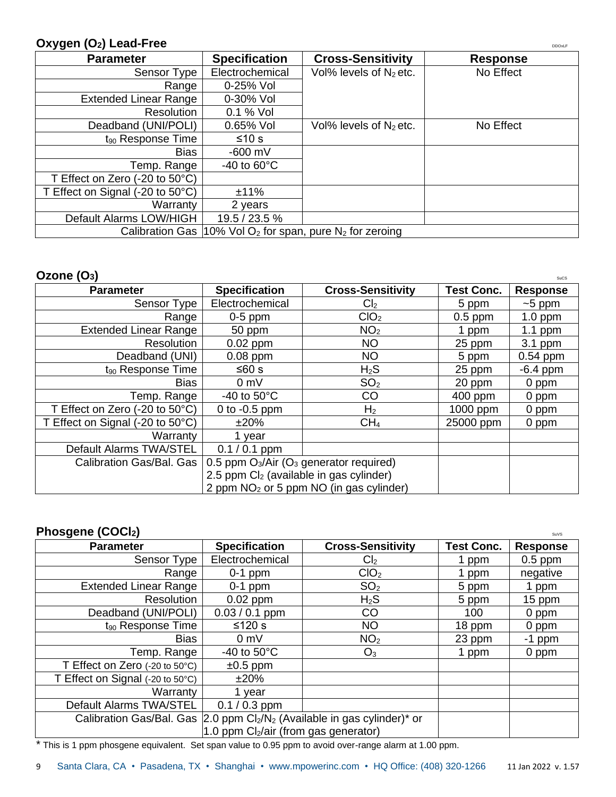#### **Oxygen (O<sub>2</sub>) Lead-Free** DRIGHT CONSIDERING CONSIDERING CONSIDERING CONSIDERING CONSIDERING CONSIDERING CONSIDERING CONSIDERING CONSIDERING CONSIDERING CONSIDERING CONSIDERING CONSIDERING CONSIDERING CONSIDERING CONSIDERI

| <b>Parameter</b>                                        | <b>Specification</b>    | <b>Cross-Sensitivity</b>                                                             | <b>Response</b> |
|---------------------------------------------------------|-------------------------|--------------------------------------------------------------------------------------|-----------------|
| Sensor Type                                             | Electrochemical         | Vol% levels of N <sub>2</sub> etc.                                                   | No Effect       |
| Range                                                   | 0-25% Vol               |                                                                                      |                 |
| <b>Extended Linear Range</b>                            | 0-30% Vol               |                                                                                      |                 |
| Resolution                                              | 0.1 % Vol               |                                                                                      |                 |
| Deadband (UNI/POLI)                                     | 0.65% Vol               | Vol% levels of $N_2$ etc.                                                            | No Effect       |
| $t_{90}$ Response Time                                  | ≤10 s                   |                                                                                      |                 |
| <b>Bias</b>                                             | $-600$ mV               |                                                                                      |                 |
| Temp. Range                                             | $-40$ to 60 $\degree$ C |                                                                                      |                 |
| T Effect on Zero $(-20 \text{ to } 50^{\circ}\text{C})$ |                         |                                                                                      |                 |
| T Effect on Signal (-20 to 50°C)                        | ±11%                    |                                                                                      |                 |
| Warranty                                                | 2 years                 |                                                                                      |                 |
| Default Alarms LOW/HIGH                                 | 19.5 / 23.5 %           |                                                                                      |                 |
|                                                         |                         | Calibration Gas $ 10\%$ Vol O <sub>2</sub> for span, pure N <sub>2</sub> for zeroing |                 |

| Ozone $(O_3)$                                            |                                                |                                                     |                   | SuCS            |
|----------------------------------------------------------|------------------------------------------------|-----------------------------------------------------|-------------------|-----------------|
| <b>Parameter</b>                                         | <b>Specification</b>                           | <b>Cross-Sensitivity</b>                            | <b>Test Conc.</b> | <b>Response</b> |
| Sensor Type                                              | Electrochemical                                | Cl <sub>2</sub>                                     | 5 ppm             | $~5$ ppm        |
| Range                                                    | $0-5$ ppm                                      | CIO <sub>2</sub>                                    | $0.5$ ppm         | $1.0$ ppm       |
| <b>Extended Linear Range</b>                             | 50 ppm                                         | NO <sub>2</sub>                                     | 1 ppm             | 1.1 ppm         |
| Resolution                                               | $0.02$ ppm                                     | <b>NO</b>                                           | 25 ppm            | $3.1$ ppm       |
| Deadband (UNI)                                           | $0.08$ ppm                                     | <b>NO</b>                                           | 5 ppm             | $0.54$ ppm      |
| t <sub>90</sub> Response Time                            | ≤60 s                                          | $H_2S$                                              | 25 ppm            | $-6.4$ ppm      |
| <b>Bias</b>                                              | 0 mV                                           | SO <sub>2</sub>                                     | 20 ppm            | 0 ppm           |
| Temp. Range                                              | -40 to $50^{\circ}$ C                          | CO                                                  | 400 ppm           | 0 ppm           |
| T Effect on Zero $(-20 \text{ to } 50^{\circ} \text{C})$ | 0 to $-0.5$ ppm                                | H <sub>2</sub>                                      | 1000 ppm          | 0 ppm           |
| T Effect on Signal (-20 to 50°C)                         | ±20%                                           | CH <sub>4</sub>                                     | 25000 ppm         | 0 ppm           |
| Warranty                                                 | vear                                           |                                                     |                   |                 |
| Default Alarms TWA/STEL                                  | $0.1 / 0.1$ ppm                                |                                                     |                   |                 |
| Calibration Gas/Bal. Gas                                 | 0.5 ppm $O_3/A$ ir ( $O_3$ generator required) |                                                     |                   |                 |
|                                                          |                                                | 2.5 ppm Cl <sub>2</sub> (available in gas cylinder) |                   |                 |
|                                                          |                                                | 2 ppm NO <sub>2</sub> or 5 ppm NO (in gas cylinder) |                   |                 |

#### **Phosgene (COCl<sub>2</sub>)** Suits

| <b>Parameter</b>                 | <b>Specification</b>                                                                                            | <b>Cross-Sensitivity</b> | <b>Test Conc.</b> | <b>Response</b> |
|----------------------------------|-----------------------------------------------------------------------------------------------------------------|--------------------------|-------------------|-----------------|
| Sensor Type                      | Electrochemical                                                                                                 | Cl <sub>2</sub>          | 1 ppm             | $0.5$ ppm       |
| Range                            | $0-1$ ppm                                                                                                       | ClO <sub>2</sub>         | 1 ppm             | negative        |
| Extended Linear Range            | $0-1$ ppm                                                                                                       | SO <sub>2</sub>          | 5 ppm             | ppm             |
| Resolution                       | $0.02$ ppm                                                                                                      | $H_2S$                   | 5 ppm             | 15 ppm          |
| Deadband (UNI/POLI)              | $0.03 / 0.1$ ppm                                                                                                | CO                       | 100               | 0 ppm           |
| $t_{90}$ Response Time           | $≤120 s$                                                                                                        | <b>NO</b>                | 18 ppm            | 0 ppm           |
| <b>Bias</b>                      | 0 <sub>m</sub>                                                                                                  | NO <sub>2</sub>          | 23 ppm            | $-1$ ppm        |
| Temp. Range                      | -40 to $50^{\circ}$ C                                                                                           | $O_3$                    | 1 ppm             | 0 ppm           |
| T Effect on Zero (-20 to 50°C)   | $\pm 0.5$ ppm                                                                                                   |                          |                   |                 |
| T Effect on Signal (-20 to 50°C) | $±20\%$                                                                                                         |                          |                   |                 |
| Warranty                         | year                                                                                                            |                          |                   |                 |
| Default Alarms TWA/STEL          | $0.1 / 0.3$ ppm                                                                                                 |                          |                   |                 |
|                                  | Calibration Gas/Bal. Gas $ 2.0$ ppm Cl <sub>2</sub> /N <sub>2</sub> (Available in gas cylinder) <sup>*</sup> or |                          |                   |                 |
|                                  | 1.0 ppm $Cl2/air$ (from gas generator)                                                                          |                          |                   |                 |

\* This is 1 ppm phosgene equivalent. Set span value to 0.95 ppm to avoid over-range alarm at 1.00 ppm.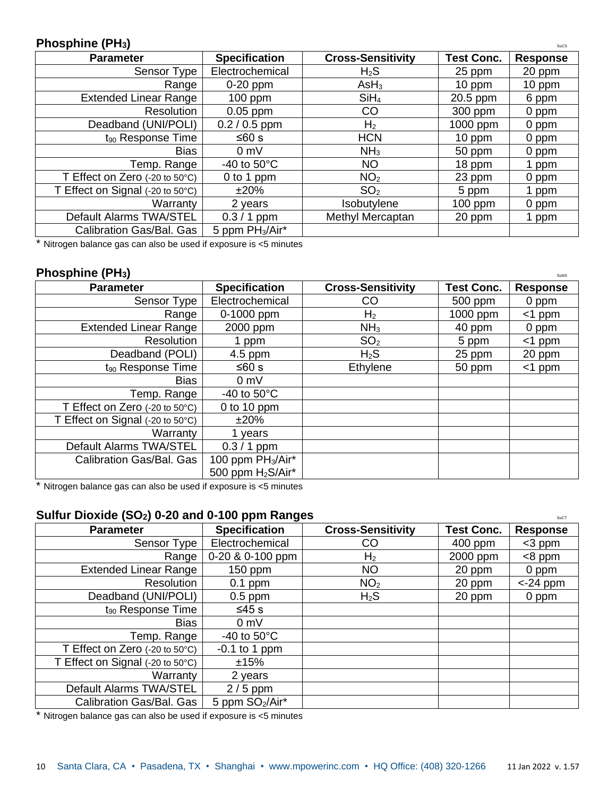#### **Phosphine (PH<sub>3</sub>)** Succession **Phosphine** (PH<sub>3</sub>)

| <b>Parameter</b>                 | <b>Specification</b>        | <b>Cross-Sensitivity</b> | <b>Test Conc.</b> | <b>Response</b> |
|----------------------------------|-----------------------------|--------------------------|-------------------|-----------------|
| Sensor Type                      | Electrochemical             | $H_2S$                   | 25 ppm            | 20 ppm          |
| Range                            | $0-20$ ppm                  | AsH <sub>3</sub>         | $10$ ppm          | 10 ppm          |
| <b>Extended Linear Range</b>     | $100$ ppm                   | SiH <sub>4</sub>         | 20.5 ppm          | 6 ppm           |
| Resolution                       | $0.05$ ppm                  | CO                       | 300 ppm           | 0 ppm           |
| Deadband (UNI/POLI)              | $0.2 / 0.5$ ppm             | H <sub>2</sub>           | 1000 ppm          | 0 ppm           |
| $t_{90}$ Response Time           | ≤60 s                       | <b>HCN</b>               | 10 ppm            | 0 ppm           |
| <b>Bias</b>                      | 0 <sub>m</sub>              | NH <sub>3</sub>          | 50 ppm            | 0 ppm           |
| Temp. Range                      | -40 to $50^{\circ}$ C       | <b>NO</b>                | 18 ppm            | 1 ppm           |
| T Effect on Zero (-20 to 50°C)   | 0 to 1 ppm                  | NO <sub>2</sub>          | 23 ppm            | 0 ppm           |
| T Effect on Signal (-20 to 50°C) | ±20%                        | SO <sub>2</sub>          | 5 ppm             | 1 ppm           |
| Warranty                         | 2 years                     | Isobutylene              | $100$ ppm         | 0 ppm           |
| Default Alarms TWA/STEL          | $0.3 / 1$ ppm               | Methyl Mercaptan         | 20 ppm            | 1 ppm           |
| Calibration Gas/Bal. Gas         | 5 ppm PH <sub>3</sub> /Air* |                          |                   |                 |

\* Nitrogen balance gas can also be used if exposure is <5 minutes

#### **Phosphine (PH**<sub>3</sub>**)** Suns

| <b>Parameter</b>                 | <b>Specification</b>          | <b>Cross-Sensitivity</b> | <b>Test Conc.</b> | <b>Response</b> |
|----------------------------------|-------------------------------|--------------------------|-------------------|-----------------|
| Sensor Type                      | Electrochemical               | CO                       | 500 ppm           | 0 ppm           |
| Range                            | 0-1000 ppm                    | H <sub>2</sub>           | 1000 ppm          | $<$ 1 ppm       |
| <b>Extended Linear Range</b>     | 2000 ppm                      | NH <sub>3</sub>          | 40 ppm            | 0 ppm           |
| Resolution                       | 1 ppm                         | SO <sub>2</sub>          | 5 ppm             | $<$ 1 ppm       |
| Deadband (POLI)                  | $4.5$ ppm                     | $H_2S$                   | 25 ppm            | 20 ppm          |
| $t_{90}$ Response Time           | ≤60 s                         | Ethylene                 | 50 ppm            | $<$ 1 ppm       |
| Bias                             | 0 <sub>m</sub>                |                          |                   |                 |
| Temp. Range                      | $-40$ to $50^{\circ}$ C       |                          |                   |                 |
| T Effect on Zero (-20 to 50°C)   | 0 to 10 ppm                   |                          |                   |                 |
| T Effect on Signal (-20 to 50°C) | $±20\%$                       |                          |                   |                 |
| Warranty                         | 1 years                       |                          |                   |                 |
| Default Alarms TWA/STEL          | $0.3 / 1$ ppm                 |                          |                   |                 |
| Calibration Gas/Bal. Gas         | 100 ppm PH <sub>3</sub> /Air* |                          |                   |                 |
|                                  | 500 ppm H <sub>2</sub> S/Air* |                          |                   |                 |

\* Nitrogen balance gas can also be used if exposure is <5 minutes

#### **Sulfur Dioxide (SO<sub>2</sub>) 0-20 and 0-100 ppm Ranges Superiorist Contract Superiorist Contract Superiorist Contract Superiorist Contract Superiorist Contract Superiorist Contract Superiorist Contract Superiorist Contract Supe**

| <b>Parameter</b>                                        | ີ<br><b>Specification</b>   | <b>Cross-Sensitivity</b> | <b>Test Conc.</b> | <b>Response</b> |
|---------------------------------------------------------|-----------------------------|--------------------------|-------------------|-----------------|
| Sensor Type                                             | Electrochemical             | CO                       | 400 ppm           | $<$ 3 ppm       |
| Range                                                   | 0-20 & 0-100 ppm            | H <sub>2</sub>           | 2000 ppm          | $<8$ ppm        |
| <b>Extended Linear Range</b>                            | $150$ ppm                   | <b>NO</b>                | 20 ppm            | 0 ppm           |
| Resolution                                              | $0.1$ ppm                   | NO <sub>2</sub>          | 20 ppm            | $<$ -24 ppm     |
| Deadband (UNI/POLI)                                     | $0.5$ ppm                   | $H_2S$                   | 20 ppm            | 0 ppm           |
| t <sub>90</sub> Response Time                           | ≤45 s                       |                          |                   |                 |
| <b>Bias</b>                                             | 0 <sub>m</sub>              |                          |                   |                 |
| Temp. Range                                             | -40 to $50^{\circ}$ C       |                          |                   |                 |
| T Effect on Zero $(-20 \text{ to } 50^{\circ}\text{C})$ | $-0.1$ to 1 ppm             |                          |                   |                 |
| T Effect on Signal (-20 to 50°C)                        | ±15%                        |                          |                   |                 |
| Warranty                                                | 2 years                     |                          |                   |                 |
| Default Alarms TWA/STEL                                 | $2/5$ ppm                   |                          |                   |                 |
| Calibration Gas/Bal. Gas                                | 5 ppm SO <sub>2</sub> /Air* |                          |                   |                 |

\* Nitrogen balance gas can also be used if exposure is <5 minutes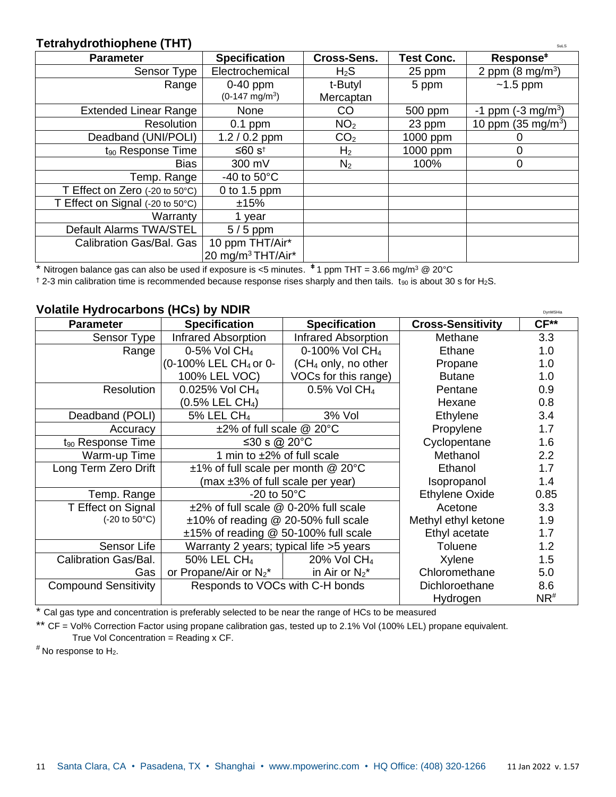#### **Tetrahydrothiophene (THT)** Sulsays and Sulface of the Sulface of the Sulface of the Sulface of the Sulface of the Sulface of the Sulface of the Sulface of the Sulface of the Sulface of the Sulface of the Sulface of the Su

| <b>Parameter</b>                 | <b>Specification</b>          | <b>Cross-Sens.</b> | <b>Test Conc.</b> | Response <sup>#</sup>               |
|----------------------------------|-------------------------------|--------------------|-------------------|-------------------------------------|
| Sensor Type                      | Electrochemical               | $H_2S$             | 25 ppm            | 2 ppm $(8 \text{ mg/m}^3)$          |
| Range                            | $0-40$ ppm                    | t-Butyl            | 5 ppm             | $~1.5$ ppm                          |
|                                  | $(0-147 \text{ mg/m}^3)$      | Mercaptan          |                   |                                     |
| <b>Extended Linear Range</b>     | None                          | CO                 | 500 ppm           | $-1$ ppm ( $-3$ mg/m <sup>3</sup> ) |
| Resolution                       | $0.1$ ppm                     | NO <sub>2</sub>    | 23 ppm            | 10 ppm (35 mg/m <sup>3</sup> )      |
| Deadband (UNI/POLI)              | $1.2 / 0.2$ ppm               | CO <sub>2</sub>    | 1000 ppm          |                                     |
| t <sub>90</sub> Response Time    | ≤60 $s†$                      | H <sub>2</sub>     | 1000 ppm          | 0                                   |
| <b>Bias</b>                      | 300 mV                        | N <sub>2</sub>     | 100%              | 0                                   |
| Temp. Range                      | -40 to $50^{\circ}$ C         |                    |                   |                                     |
| T Effect on Zero (-20 to 50°C)   | 0 to 1.5 ppm                  |                    |                   |                                     |
| T Effect on Signal (-20 to 50°C) | ±15%                          |                    |                   |                                     |
| Warranty                         | 1 year                        |                    |                   |                                     |
| Default Alarms TWA/STEL          | $5/5$ ppm                     |                    |                   |                                     |
| <b>Calibration Gas/Bal. Gas</b>  | 10 ppm THT/Air*               |                    |                   |                                     |
|                                  | 20 mg/m <sup>3</sup> THT/Air* |                    |                   |                                     |

\* Nitrogen balance gas can also be used if exposure is <5 minutes. <sup>#</sup> 1 ppm THT = 3.66 mg/m<sup>3</sup> @ 20°C

 $\dagger$  2-3 min calibration time is recommended because response rises sharply and then tails. t<sub>90</sub> is about 30 s for H<sub>2</sub>S.

#### **Volatile Hydrocarbons (HCs) by NDIR Dynamics and Construct Construction of the Construction of DynMSHia**

| <b>Parameter</b>                        | <b>Specification</b>                     | <b>Specification</b>       | <b>Cross-Sensitivity</b> | $CF**$            |
|-----------------------------------------|------------------------------------------|----------------------------|--------------------------|-------------------|
| Sensor Type                             | <b>Infrared Absorption</b>               | <b>Infrared Absorption</b> | Methane                  | 3.3               |
| Range                                   | 0-5% Vol $CH4$                           | 0-100% Vol CH <sub>4</sub> | Ethane                   | 1.0               |
|                                         | (0-100% LEL CH <sub>4</sub> or 0-        | $(CH4$ only, no other      | Propane                  | 1.0               |
|                                         | 100% LEL VOC)                            | VOCs for this range)       | <b>Butane</b>            | 1.0               |
| Resolution                              | 0.025% Vol CH <sub>4</sub>               | 0.5% Vol CH <sub>4</sub>   | Pentane                  | 0.9               |
|                                         | $(0.5\%$ LEL CH <sub>4</sub> )           |                            | Hexane                   | 0.8               |
| Deadband (POLI)                         | 5% LEL CH <sub>4</sub>                   | 3% Vol                     | Ethylene                 | 3.4               |
| Accuracy                                | $\pm$ 2% of full scale @ 20°C            |                            | Propylene                | 1.7               |
| t <sub>90</sub> Response Time           | ≤30 s @ 20 $^{\circ}$ C                  |                            | Cyclopentane             | 1.6               |
| Warm-up Time                            | 1 min to $\pm 2\%$ of full scale         |                            | Methanol                 | 2.2               |
| Long Term Zero Drift                    | $±1\%$ of full scale per month @ 20 $°C$ |                            | Ethanol                  | 1.7               |
|                                         | (max $\pm 3\%$ of full scale per year)   |                            | Isopropanol              | 1.4               |
| Temp. Range                             | -20 to $50^{\circ}$ C                    |                            | Ethylene Oxide           | 0.85              |
| T Effect on Signal                      | ±2% of full scale @ 0-20% full scale     |                            | Acetone                  | 3.3               |
| $(-20 \text{ to } 50^{\circ} \text{C})$ | ±10% of reading @ 20-50% full scale      |                            | Methyl ethyl ketone      | 1.9               |
|                                         | ±15% of reading @ 50-100% full scale     |                            | Ethyl acetate            | 1.7               |
| Sensor Life                             | Warranty 2 years; typical life > 5 years |                            | Toluene                  | 1.2               |
| Calibration Gas/Bal.                    | 50% LEL CH <sub>4</sub>                  | 20% Vol CH <sub>4</sub>    | Xylene                   | 1.5               |
| Gas                                     | or Propane/Air or $N_2^*$                | in Air or $N_2^*$          | Chloromethane            | 5.0               |
| <b>Compound Sensitivity</b>             | Responds to VOCs with C-H bonds          |                            | Dichloroethane           | 8.6               |
|                                         |                                          |                            | Hydrogen                 | $NR$ <sup>#</sup> |

\* Cal gas type and concentration is preferably selected to be near the range of HCs to be measured

\*\* CF = Vol% Correction Factor using propane calibration gas, tested up to 2.1% Vol (100% LEL) propane equivalent. True Vol Concentration =  $Reading x CF$ .

 $*$  No response to  $H_2$ .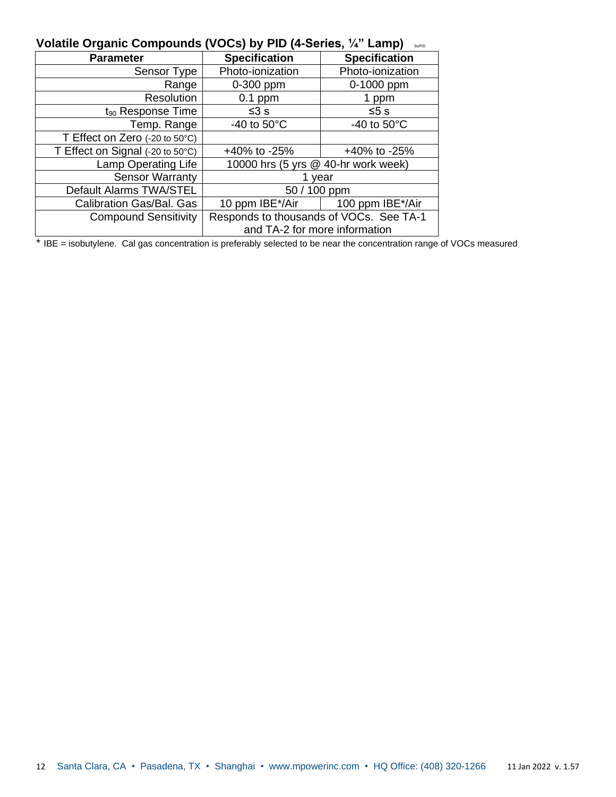| Volatile Organic Compounds (VOCs) by PID (4-Series, ¼" Lamp) serio |  |  |  |
|--------------------------------------------------------------------|--|--|--|
|--------------------------------------------------------------------|--|--|--|

| <b>Parameter</b>                 | <b>Specification</b>                    | <b>Specification</b>  |
|----------------------------------|-----------------------------------------|-----------------------|
| Sensor Type                      | Photo-ionization                        | Photo-ionization      |
| Range                            | 0-300 ppm                               | 0-1000 ppm            |
| Resolution                       | $0.1$ ppm                               | 1 ppm                 |
| $t_{90}$ Response Time           | ≤3 s                                    | ≤5 s                  |
| Temp. Range                      | -40 to $50^{\circ}$ C                   | -40 to $50^{\circ}$ C |
| T Effect on Zero (-20 to 50°C)   |                                         |                       |
| T Effect on Signal (-20 to 50°C) | +40% to -25%                            | +40% to -25%          |
| Lamp Operating Life              | 10000 hrs (5 yrs @ 40-hr work week)     |                       |
| <b>Sensor Warranty</b>           |                                         | year                  |
| Default Alarms TWA/STEL          | 50 / 100 ppm                            |                       |
| Calibration Gas/Bal. Gas         | 10 ppm IBE*/Air                         | 100 ppm IBE*/Air      |
| <b>Compound Sensitivity</b>      | Responds to thousands of VOCs. See TA-1 |                       |
|                                  | and TA-2 for more information           |                       |

\* IBE = isobutylene. Cal gas concentration is preferably selected to be near the concentration range of VOCs measured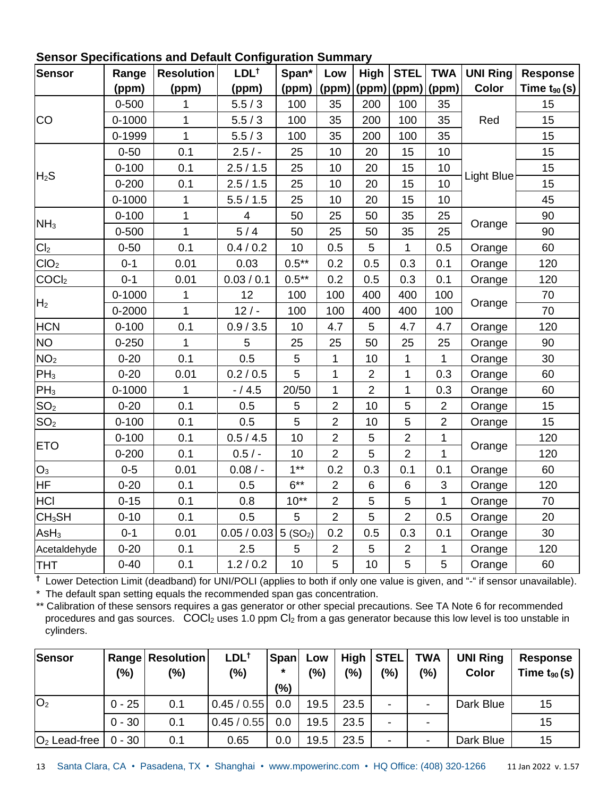| <b>Sensor</b>      | Range      | <b>Resolution</b> | LDL <sup>+</sup>        | Span*               | Low            | High           | <b>STEL</b>    | <b>TWA</b>     | <b>UNI Ring</b> | <b>Response</b>  |
|--------------------|------------|-------------------|-------------------------|---------------------|----------------|----------------|----------------|----------------|-----------------|------------------|
|                    | (ppm)      | (ppm)             | (ppm)                   | (ppm)               | (ppm)          | (ppm)          | (ppm)          | (ppm)          | <b>Color</b>    | Time $t_{90}(s)$ |
|                    | $0 - 500$  | 1                 | 5.5/3                   | 100                 | 35             | 200            | 100            | 35             |                 | 15               |
| <b>CO</b>          | $0 - 1000$ | $\mathbf{1}$      | 5.5/3                   | 100                 | 35             | 200            | 100            | 35             | Red             | 15               |
|                    | 0-1999     | $\mathbf{1}$      | 5.5/3                   | 100                 | 35             | 200            | 100            | 35             |                 | 15               |
|                    | $0 - 50$   | 0.1               | $2.5/ -$                | 25                  | 10             | 20             | 15             | 10             |                 | 15               |
|                    | $0 - 100$  | 0.1               | 2.5/1.5                 | 25                  | 10             | 20             | 15             | 10             |                 | 15               |
| $H_2S$             | $0 - 200$  | 0.1               | 2.5/1.5                 | 25                  | 10             | 20             | 15             | 10             | Light Blue      | 15               |
|                    | $0 - 1000$ | 1                 | 5.5/1.5                 | 25                  | 10             | 20             | 15             | 10             |                 | 45               |
|                    | $0 - 100$  | $\mathbf{1}$      | $\overline{\mathbf{4}}$ | 50                  | 25             | 50             | 35             | 25             |                 | 90               |
| NH <sub>3</sub>    | $0 - 500$  | 1                 | 5/4                     | 50                  | 25             | 50             | 35             | 25             | Orange          | 90               |
| Cl <sub>2</sub>    | $0 - 50$   | 0.1               | 0.4 / 0.2               | 10                  | 0.5            | 5              | $\mathbf{1}$   | 0.5            | Orange          | 60               |
| ClO <sub>2</sub>   | $0 - 1$    | 0.01              | 0.03                    | $0.5***$            | 0.2            | 0.5            | 0.3            | 0.1            | Orange          | 120              |
| COCl <sub>2</sub>  | $0 - 1$    | 0.01              | 0.03 / 0.1              | $0.5***$            | 0.2            | 0.5            | 0.3            | 0.1            | Orange          | 120              |
| H <sub>2</sub>     | $0 - 1000$ | 1                 | 12                      | 100                 | 100            | 400            | 400            | 100            |                 | 70               |
|                    | 0-2000     | $\mathbf{1}$      | $12/ -$                 | 100                 | 100            | 400            | 400            | 100            | Orange          | 70               |
| <b>HCN</b>         | $0 - 100$  | 0.1               | 0.9 / 3.5               | 10                  | 4.7            | 5              | 4.7            | 4.7            | Orange          | 120              |
| <b>NO</b>          | $0 - 250$  | 1                 | 5                       | 25                  | 25             | 50             | 25             | 25             | Orange          | 90               |
| NO <sub>2</sub>    | $0 - 20$   | 0.1               | 0.5                     | 5                   | $\mathbf{1}$   | 10             | $\mathbf{1}$   | $\mathbf{1}$   | Orange          | 30               |
| PH <sub>3</sub>    | $0 - 20$   | 0.01              | 0.2 / 0.5               | 5                   | $\mathbf{1}$   | $\overline{2}$ | $\mathbf{1}$   | 0.3            | Orange          | 60               |
| PH <sub>3</sub>    | $0 - 1000$ | 1                 | $- / 4.5$               | 20/50               | 1              | $\overline{2}$ | 1              | 0.3            | Orange          | 60               |
| SO <sub>2</sub>    | $0 - 20$   | 0.1               | 0.5                     | $\sqrt{5}$          | $\overline{2}$ | 10             | 5              | $\overline{2}$ | Orange          | 15               |
| SO <sub>2</sub>    | $0 - 100$  | 0.1               | 0.5                     | 5                   | $\overline{2}$ | 10             | 5              | $\overline{2}$ | Orange          | 15               |
| <b>ETO</b>         | $0 - 100$  | 0.1               | 0.5 / 4.5               | 10                  | $\overline{2}$ | 5              | $\overline{2}$ | 1              | Orange          | 120              |
|                    | $0 - 200$  | 0.1               | $0.5/ -$                | 10                  | $\overline{2}$ | 5              | $\overline{2}$ | 1              |                 | 120              |
| $O_3$              | $0 - 5$    | 0.01              | $0.08/$ -               | $1***$              | 0.2            | 0.3            | 0.1            | 0.1            | Orange          | 60               |
| <b>HF</b>          | $0 - 20$   | 0.1               | 0.5                     | $6***$              | $\overline{2}$ | $\,6$          | $\,6\,$        | $\mathsf 3$    | Orange          | 120              |
| <b>HCI</b>         | $0 - 15$   | 0.1               | 0.8                     | $10**$              | $\overline{2}$ | 5              | $\overline{5}$ | 1              | Orange          | 70               |
| CH <sub>3</sub> SH | $0 - 10$   | 0.1               | 0.5                     | 5                   | $\overline{2}$ | 5              | $\overline{2}$ | 0.5            | Orange          | 20               |
| AsH <sub>3</sub>   | $0 - 1$    | 0.01              | 0.05 / 0.03             | 5(SO <sub>2</sub> ) | 0.2            | 0.5            | 0.3            | 0.1            | Orange          | 30               |
| Acetaldehyde       | $0 - 20$   | 0.1               | 2.5                     | 5                   | $\overline{2}$ | 5              | $\overline{2}$ | 1              | Orange          | 120              |
| <b>THT</b>         | $0 - 40$   | 0.1               | 1.2 / 0.2               | 10                  | 5              | 10             | 5              | 5              | Orange          | 60               |

## **Sensor Specifications and Default Configuration Summary**

**†** Lower Detection Limit (deadband) for UNI/POLI (applies to both if only one value is given, and "-" if sensor unavailable). \* The default span setting equals the recommended span gas concentration.

\*\* Calibration of these sensors requires a gas generator or other special precautions. See TA Note 6 for recommended procedures and gas sources.  $COCl<sub>2</sub>$  uses 1.0 ppm  $Cl<sub>2</sub>$  from a gas generator because this low level is too unstable in cylinders.

| <b>Sensor</b>  | (%)      | <b>Range Resolution</b><br>(%) | $LDL^{\dagger}$<br>(%) | <b>Span</b><br>$\star$<br>(%) | Low<br>(%) | (%)  | High   STEL<br>(%)       | <b>TWA</b><br>(%) | <b>UNI Ring</b><br><b>Color</b> | <b>Response</b><br>Time $t_{90}(s)$ |
|----------------|----------|--------------------------------|------------------------|-------------------------------|------------|------|--------------------------|-------------------|---------------------------------|-------------------------------------|
| O <sub>2</sub> | $0 - 25$ | 0.1                            | 0.45/0.55              | 0.0                           | 19.5       | 23.5 | $\overline{\phantom{0}}$ |                   | Dark Blue                       | 15                                  |
|                | $0 - 30$ | 0.1                            | 0.45/0.55              | 0.0                           | 19.5       | 23.5 | ۰.                       |                   |                                 | 15                                  |
| $O2$ Lead-free | $0 - 30$ | 0.1                            | 0.65                   | 0.0                           | 19.5       | 23.5 | $\overline{\phantom{0}}$ |                   | Dark Blue                       | 15                                  |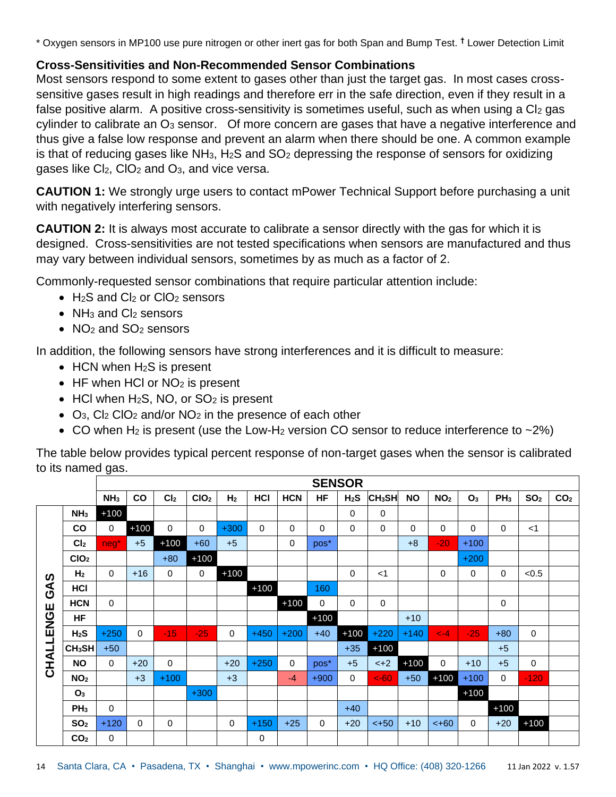\* Oxygen sensors in MP100 use pure nitrogen or other inert gas for both Span and Bump Test. **†** Lower Detection Limit

#### **Cross-Sensitivities and Non-Recommended Sensor Combinations**

Most sensors respond to some extent to gases other than just the target gas. In most cases crosssensitive gases result in high readings and therefore err in the safe direction, even if they result in a false positive alarm. A positive cross-sensitivity is sometimes useful, such as when using a Cl<sub>2</sub> gas  $c$ ylinder to calibrate an  $O<sub>3</sub>$  sensor. Of more concern are gases that have a negative interference and thus give a false low response and prevent an alarm when there should be one. A common example is that of reducing gases like  $NH_3$ , H<sub>2</sub>S and  $SO_2$  depressing the response of sensors for oxidizing gases like Cl2, ClO<sup>2</sup> and O3, and vice versa.

**CAUTION 1:** We strongly urge users to contact mPower Technical Support before purchasing a unit with negatively interfering sensors.

**CAUTION 2:** It is always most accurate to calibrate a sensor directly with the gas for which it is designed. Cross-sensitivities are not tested specifications when sensors are manufactured and thus may vary between individual sensors, sometimes by as much as a factor of 2.

Commonly-requested sensor combinations that require particular attention include:

- $H_2S$  and Cl<sub>2</sub> or ClO<sub>2</sub> sensors
- $NH<sub>3</sub>$  and Cl<sub>2</sub> sensors
- NO<sub>2</sub> and SO<sub>2</sub> sensors

In addition, the following sensors have strong interferences and it is difficult to measure:

- HCN when H<sub>2</sub>S is present
- HF when HCI or NO<sub>2</sub> is present
- HCl when  $H_2S$ , NO, or  $SO_2$  is present
- O<sub>3</sub>, Cl<sub>2</sub> ClO<sub>2</sub> and/or NO<sub>2</sub> in the presence of each other
- CO when H<sub>2</sub> is present (use the Low-H<sub>2</sub> version CO sensor to reduce interference to  $\sim$ 2%)

The table below provides typical percent response of non-target gases when the sensor is calibrated to its named gas.

|           |                    |                 |               |                 |                  |                |             |             | <b>SENSOR</b> |                  |                    |           |                 |                |                 |                 |                 |
|-----------|--------------------|-----------------|---------------|-----------------|------------------|----------------|-------------|-------------|---------------|------------------|--------------------|-----------|-----------------|----------------|-----------------|-----------------|-----------------|
|           |                    | NH <sub>3</sub> | $\mathbf{co}$ | Cl <sub>2</sub> | CIO <sub>2</sub> | H <sub>2</sub> | HCI         | <b>HCN</b>  | <b>HF</b>     | H <sub>2</sub> S | CH <sub>3</sub> SH | <b>NO</b> | NO <sub>2</sub> | O <sub>3</sub> | PH <sub>3</sub> | SO <sub>2</sub> | CO <sub>2</sub> |
|           | NH <sub>3</sub>    | $+100$          |               |                 |                  |                |             |             |               | $\Omega$         | $\mathbf 0$        |           |                 |                |                 |                 |                 |
|           | $\mathsf{co}$      | 0               | $+100$        | $\mathbf 0$     | 0                | $+300$         | $\Omega$    | 0           | 0             | $\Omega$         | 0                  | 0         | $\mathbf 0$     | 0              | $\mathbf 0$     | $<$ 1           |                 |
|           | Cl <sub>2</sub>    | $neg^*$         | $+5$          | $+100$          | $+60$            | $+5$           |             | $\mathbf 0$ | pos*          |                  |                    | $+8$      | $-20$           | $+100$         |                 |                 |                 |
|           | CIO <sub>2</sub>   |                 |               | $+80$           | $+100$           |                |             |             |               |                  |                    |           |                 | $+200$         |                 |                 |                 |
|           | H <sub>2</sub>     | 0               | $+16$         | $\mathbf 0$     | $\mathbf 0$      | $+100$         |             |             |               | $\mathbf 0$      | $<$ 1              |           | 0               | 0              | 0               | < 0.5           |                 |
| GAS       | HCI                |                 |               |                 |                  |                | $+100$      |             | 160           |                  |                    |           |                 |                |                 |                 |                 |
|           | <b>HCN</b>         | 0               |               |                 |                  |                |             | $+100$      | 0             | $\mathbf 0$      | 0                  |           |                 |                | 0               |                 |                 |
|           | <b>HF</b>          |                 |               |                 |                  |                |             |             | $+100$        |                  |                    | $+10$     |                 |                |                 |                 |                 |
| CHALLENGE | $H_2S$             | $+250$          | $\mathbf 0$   | $-15$           | $-25$            | $\mathbf 0$    | $+450$      | $+200$      | $+40$         | $+100$           | $+220$             | $+140$    | $\leftarrow$ -4 | $-25$          | $+80$           | $\mathbf 0$     |                 |
|           | CH <sub>3</sub> SH | $+50$           |               |                 |                  |                |             |             |               | $+35$            | $+100$             |           |                 |                | $+5$            |                 |                 |
|           | <b>NO</b>          | 0               | $+20$         | $\mathbf 0$     |                  | $+20$          | $+250$      | $\Omega$    | pos*          | $+5$             | $<+2$              | $+100$    | $\mathbf 0$     | $+10$          | $+5$            | 0               |                 |
|           | NO <sub>2</sub>    |                 | $+3$          | $+100$          |                  | $+3$           |             | $-4$        | $+900$        | $\mathbf{0}$     | $<$ -60            | $+50$     | $+100$          | $+100$         | $\mathbf 0$     | $-120$          |                 |
|           | O <sub>3</sub>     |                 |               |                 | $+300$           |                |             |             |               |                  |                    |           |                 | $+100$         |                 |                 |                 |
|           | PH <sub>3</sub>    | 0               |               |                 |                  |                |             |             |               | $+40$            |                    |           |                 |                | $+100$          |                 |                 |
|           | SO <sub>2</sub>    | $+120$          | 0             | $\mathbf 0$     |                  | $\mathbf 0$    | $+150$      | $+25$       | 0             | $+20$            | $< +50$            | $+10$     | $< +60$         | $\mathbf 0$    | $+20$           | $+100$          |                 |
|           | CO <sub>2</sub>    | 0               |               |                 |                  |                | $\mathbf 0$ |             |               |                  |                    |           |                 |                |                 |                 |                 |